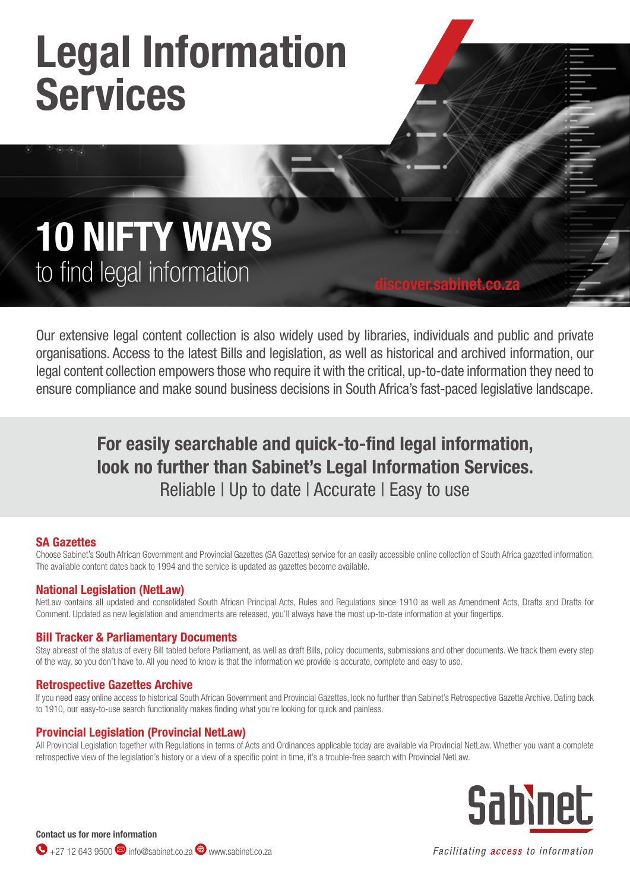# Legal Information **Services**

## 10 NIFTY WAYS to find legal information

Our extensive legal content collection is also widely used by libraries, individuals and public and private organisations. Access to the latest Bills and legislation, as well as historical and archived information, our legal content collection empowers those who require it with the critical, up-to-date information they need to ensure compliance and make sound business decisions in South Africa's fast-paced legislative landscape.

discover.sabinet.co.za

### For easily searchable and quick-to-find legal information, look no further than Sabinet's Legal Information Services. Reliable | Up to date | Accurate | Easy to use

#### SA Gazettes

Choose Sabinet's South African Government and Provincial Gazettes (SA Gazettes) service for an easily accessible online collection of South Africa gazetted information. The available content dates back to 1994 and the service is updated as gazettes become available.

#### National Legislation (NetLaw)

NetLaw contains all updated and consolidated South African Principal Acts, Rules and Regulations since 1910 as well as Amendment Acts, Drafts and Drafts for Comment. Updated as new legislation and amendments are released, you'll always have the most up-to-date information at your fingertips.

#### Bill Tracker & Parliamentary Documents

Stay abreast of the status of every Bill tabled before Parliament, as well as draft Bills, policy documents, submissions and other documents. We track them every step of the way, so you don't have to. All you need to know is that the information we provide is accurate, complete and easy to use.

#### Retrospective Gazettes Archive

If you need easy online access to historical South African Government and Provincial Gazettes, look no further than Sabinet's Retrospective Gazette Archive. Dating back to 1910, our easy-to-use search functionality makes finding what you're looking for quick and painless.

#### Provincial Legislation (Provincial NetLaw)

All Provincial Legislation together with Regulations in terms of Acts and Ordinances applicable today are available via Provincial NetLaw. Whether you want a complete retrospective view of the legislation's history or a view of a specific point in time, it's a trouble-free search with Provincial NetLaw.



#### Contact us for more information

 $\bigodot$  +27 12 643 9500 info@sabinet.co.za  $\bigoplus$  www.sabinet.co.za

Facilitating access to information